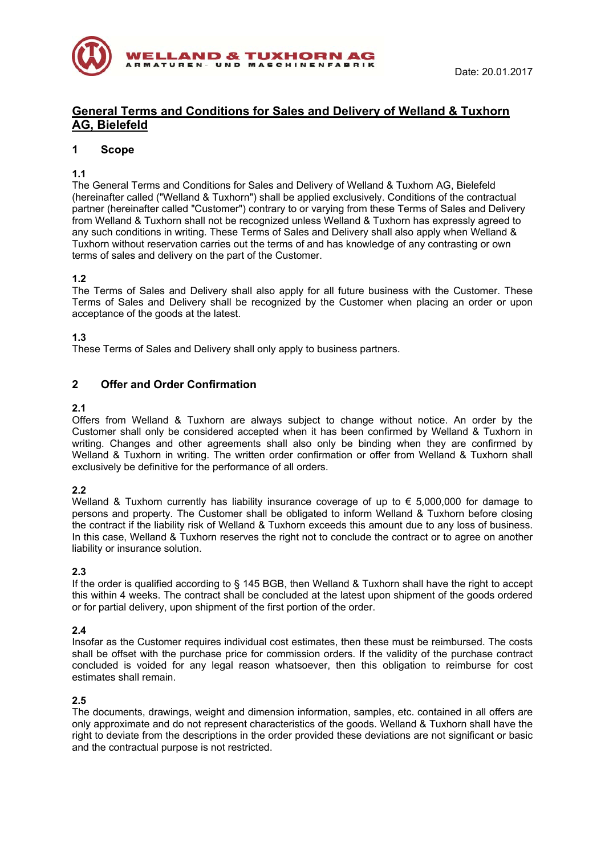

# **General Terms and Conditions for Sales and Delivery of Welland & Tuxhorn AG, Bielefeld**

# **1 Scope**

# **1.1**

The General Terms and Conditions for Sales and Delivery of Welland & Tuxhorn AG, Bielefeld (hereinafter called ("Welland & Tuxhorn") shall be applied exclusively. Conditions of the contractual partner (hereinafter called "Customer") contrary to or varying from these Terms of Sales and Delivery from Welland & Tuxhorn shall not be recognized unless Welland & Tuxhorn has expressly agreed to any such conditions in writing. These Terms of Sales and Delivery shall also apply when Welland & Tuxhorn without reservation carries out the terms of and has knowledge of any contrasting or own terms of sales and delivery on the part of the Customer.

# **1.2**

The Terms of Sales and Delivery shall also apply for all future business with the Customer. These Terms of Sales and Delivery shall be recognized by the Customer when placing an order or upon acceptance of the goods at the latest.

## **1.3**

These Terms of Sales and Delivery shall only apply to business partners.

# **2 Offer and Order Confirmation**

## **2.1**

Offers from Welland & Tuxhorn are always subject to change without notice. An order by the Customer shall only be considered accepted when it has been confirmed by Welland & Tuxhorn in writing. Changes and other agreements shall also only be binding when they are confirmed by Welland & Tuxhorn in writing. The written order confirmation or offer from Welland & Tuxhorn shall exclusively be definitive for the performance of all orders.

# **2.2**

Welland & Tuxhorn currently has liability insurance coverage of up to  $\epsilon$  5,000,000 for damage to persons and property. The Customer shall be obligated to inform Welland & Tuxhorn before closing the contract if the liability risk of Welland & Tuxhorn exceeds this amount due to any loss of business. In this case, Welland & Tuxhorn reserves the right not to conclude the contract or to agree on another liability or insurance solution.

#### **2.3**

If the order is qualified according to § 145 BGB, then Welland & Tuxhorn shall have the right to accept this within 4 weeks. The contract shall be concluded at the latest upon shipment of the goods ordered or for partial delivery, upon shipment of the first portion of the order.

#### **2.4**

Insofar as the Customer requires individual cost estimates, then these must be reimbursed. The costs shall be offset with the purchase price for commission orders. If the validity of the purchase contract concluded is voided for any legal reason whatsoever, then this obligation to reimburse for cost estimates shall remain.

# **2.5**

The documents, drawings, weight and dimension information, samples, etc. contained in all offers are only approximate and do not represent characteristics of the goods. Welland & Tuxhorn shall have the right to deviate from the descriptions in the order provided these deviations are not significant or basic and the contractual purpose is not restricted.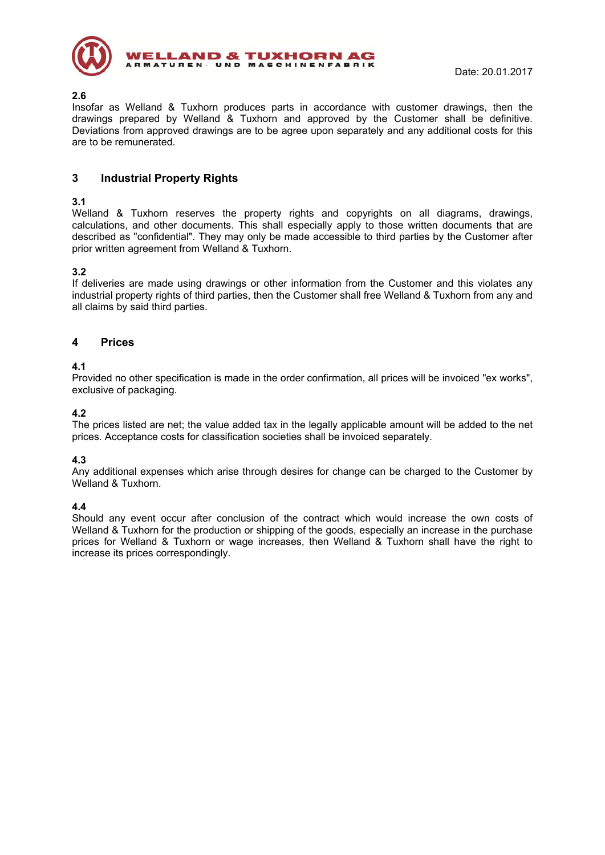

#### **2.6**  Insofar as Welland & Tuxhorn produces parts in accordance with customer drawings, then the drawings prepared by Welland & Tuxhorn and approved by the Customer shall be definitive. Deviations from approved drawings are to be agree upon separately and any additional costs for this are to be remunerated.

# **3 Industrial Property Rights**

## **3.1**

Welland & Tuxhorn reserves the property rights and copyrights on all diagrams, drawings, calculations, and other documents. This shall especially apply to those written documents that are described as "confidential". They may only be made accessible to third parties by the Customer after prior written agreement from Welland & Tuxhorn.

## **3.2**

If deliveries are made using drawings or other information from the Customer and this violates any industrial property rights of third parties, then the Customer shall free Welland & Tuxhorn from any and all claims by said third parties.

# **4 Prices**

## **4.1**

Provided no other specification is made in the order confirmation, all prices will be invoiced "ex works", exclusive of packaging.

## **4.2**

The prices listed are net; the value added tax in the legally applicable amount will be added to the net prices. Acceptance costs for classification societies shall be invoiced separately.

# **4.3**

Any additional expenses which arise through desires for change can be charged to the Customer by Welland & Tuxhorn.

#### **4.4**

Should any event occur after conclusion of the contract which would increase the own costs of Welland & Tuxhorn for the production or shipping of the goods, especially an increase in the purchase prices for Welland & Tuxhorn or wage increases, then Welland & Tuxhorn shall have the right to increase its prices correspondingly.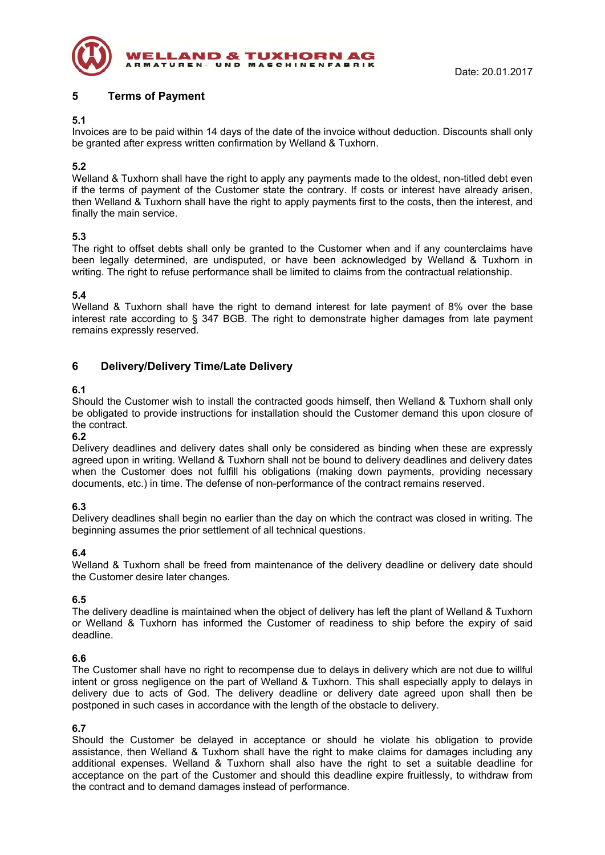

# **5 Terms of Payment**

## **5.1**

Invoices are to be paid within 14 days of the date of the invoice without deduction. Discounts shall only be granted after express written confirmation by Welland & Tuxhorn.

# **5.2**

Welland & Tuxhorn shall have the right to apply any payments made to the oldest, non-titled debt even if the terms of payment of the Customer state the contrary. If costs or interest have already arisen, then Welland & Tuxhorn shall have the right to apply payments first to the costs, then the interest, and finally the main service.

# **5.3**

The right to offset debts shall only be granted to the Customer when and if any counterclaims have been legally determined, are undisputed, or have been acknowledged by Welland & Tuxhorn in writing. The right to refuse performance shall be limited to claims from the contractual relationship.

## **5.4**

Welland & Tuxhorn shall have the right to demand interest for late payment of 8% over the base interest rate according to § 347 BGB. The right to demonstrate higher damages from late payment remains expressly reserved.

# **6 Delivery/Delivery Time/Late Delivery**

## **6.1**

Should the Customer wish to install the contracted goods himself, then Welland & Tuxhorn shall only be obligated to provide instructions for installation should the Customer demand this upon closure of the contract.

#### **6.2**

Delivery deadlines and delivery dates shall only be considered as binding when these are expressly agreed upon in writing. Welland & Tuxhorn shall not be bound to delivery deadlines and delivery dates when the Customer does not fulfill his obligations (making down payments, providing necessary documents, etc.) in time. The defense of non-performance of the contract remains reserved.

#### **6.3**

Delivery deadlines shall begin no earlier than the day on which the contract was closed in writing. The beginning assumes the prior settlement of all technical questions.

#### **6.4**

Welland & Tuxhorn shall be freed from maintenance of the delivery deadline or delivery date should the Customer desire later changes.

#### **6.5**

The delivery deadline is maintained when the object of delivery has left the plant of Welland & Tuxhorn or Welland & Tuxhorn has informed the Customer of readiness to ship before the expiry of said deadline.

#### **6.6**

The Customer shall have no right to recompense due to delays in delivery which are not due to willful intent or gross negligence on the part of Welland & Tuxhorn. This shall especially apply to delays in delivery due to acts of God. The delivery deadline or delivery date agreed upon shall then be postponed in such cases in accordance with the length of the obstacle to delivery.

#### **6.7**

Should the Customer be delayed in acceptance or should he violate his obligation to provide assistance, then Welland & Tuxhorn shall have the right to make claims for damages including any additional expenses. Welland & Tuxhorn shall also have the right to set a suitable deadline for acceptance on the part of the Customer and should this deadline expire fruitlessly, to withdraw from the contract and to demand damages instead of performance.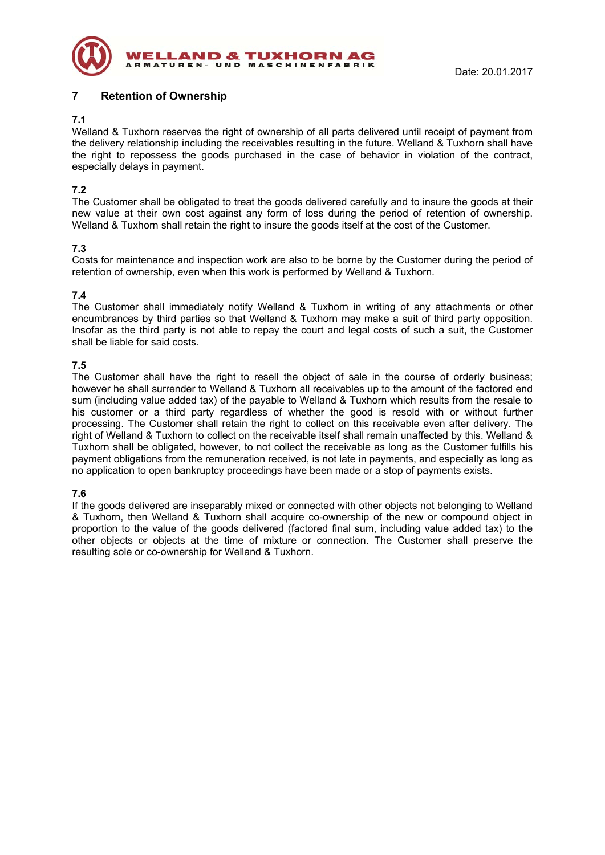

# **7 Retention of Ownership**

## **7.1**

Welland & Tuxhorn reserves the right of ownership of all parts delivered until receipt of payment from the delivery relationship including the receivables resulting in the future. Welland & Tuxhorn shall have the right to repossess the goods purchased in the case of behavior in violation of the contract, especially delays in payment.

# **7.2**

The Customer shall be obligated to treat the goods delivered carefully and to insure the goods at their new value at their own cost against any form of loss during the period of retention of ownership. Welland & Tuxhorn shall retain the right to insure the goods itself at the cost of the Customer.

# **7.3**

Costs for maintenance and inspection work are also to be borne by the Customer during the period of retention of ownership, even when this work is performed by Welland & Tuxhorn.

# **7.4**

The Customer shall immediately notify Welland & Tuxhorn in writing of any attachments or other encumbrances by third parties so that Welland & Tuxhorn may make a suit of third party opposition. Insofar as the third party is not able to repay the court and legal costs of such a suit, the Customer shall be liable for said costs.

# **7.5**

The Customer shall have the right to resell the object of sale in the course of orderly business; however he shall surrender to Welland & Tuxhorn all receivables up to the amount of the factored end sum (including value added tax) of the payable to Welland & Tuxhorn which results from the resale to his customer or a third party regardless of whether the good is resold with or without further processing. The Customer shall retain the right to collect on this receivable even after delivery. The right of Welland & Tuxhorn to collect on the receivable itself shall remain unaffected by this. Welland & Tuxhorn shall be obligated, however, to not collect the receivable as long as the Customer fulfills his payment obligations from the remuneration received, is not late in payments, and especially as long as no application to open bankruptcy proceedings have been made or a stop of payments exists.

# **7.6**

If the goods delivered are inseparably mixed or connected with other objects not belonging to Welland & Tuxhorn, then Welland & Tuxhorn shall acquire co-ownership of the new or compound object in proportion to the value of the goods delivered (factored final sum, including value added tax) to the other objects or objects at the time of mixture or connection. The Customer shall preserve the resulting sole or co-ownership for Welland & Tuxhorn.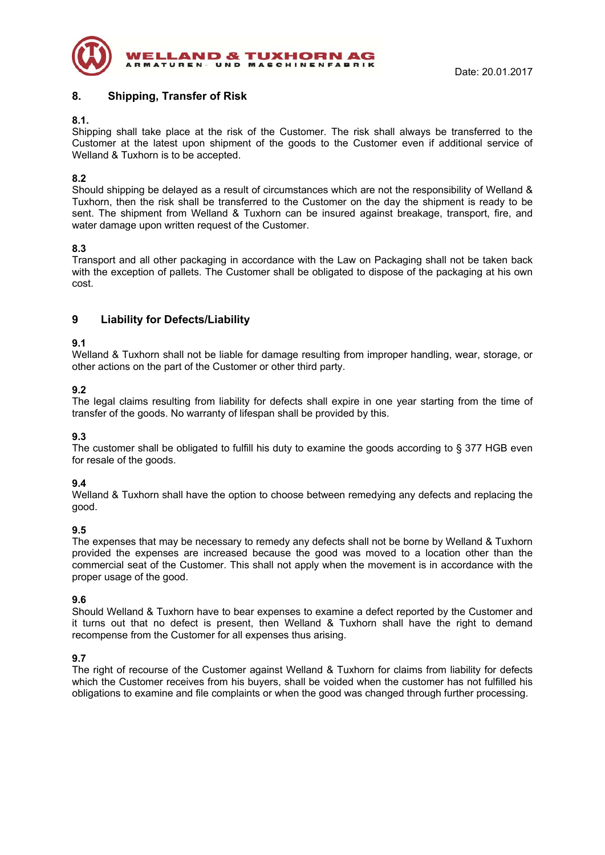

# **8. Shipping, Transfer of Risk**

## **8.1.**

Shipping shall take place at the risk of the Customer. The risk shall always be transferred to the Customer at the latest upon shipment of the goods to the Customer even if additional service of Welland & Tuxhorn is to be accepted.

# **8.2**

Should shipping be delayed as a result of circumstances which are not the responsibility of Welland & Tuxhorn, then the risk shall be transferred to the Customer on the day the shipment is ready to be sent. The shipment from Welland & Tuxhorn can be insured against breakage, transport, fire, and water damage upon written request of the Customer.

# **8.3**

Transport and all other packaging in accordance with the Law on Packaging shall not be taken back with the exception of pallets. The Customer shall be obligated to dispose of the packaging at his own cost.

# **9 Liability for Defects/Liability**

## **9.1**

Welland & Tuxhorn shall not be liable for damage resulting from improper handling, wear, storage, or other actions on the part of the Customer or other third party.

# **9.2**

The legal claims resulting from liability for defects shall expire in one year starting from the time of transfer of the goods. No warranty of lifespan shall be provided by this.

#### **9.3**

The customer shall be obligated to fulfill his duty to examine the goods according to § 377 HGB even for resale of the goods.

# **9.4**

Welland & Tuxhorn shall have the option to choose between remedying any defects and replacing the good.

#### **9.5**

The expenses that may be necessary to remedy any defects shall not be borne by Welland & Tuxhorn provided the expenses are increased because the good was moved to a location other than the commercial seat of the Customer. This shall not apply when the movement is in accordance with the proper usage of the good.

#### **9.6**

Should Welland & Tuxhorn have to bear expenses to examine a defect reported by the Customer and it turns out that no defect is present, then Welland & Tuxhorn shall have the right to demand recompense from the Customer for all expenses thus arising.

# **9.7**

The right of recourse of the Customer against Welland & Tuxhorn for claims from liability for defects which the Customer receives from his buyers, shall be voided when the customer has not fulfilled his obligations to examine and file complaints or when the good was changed through further processing.